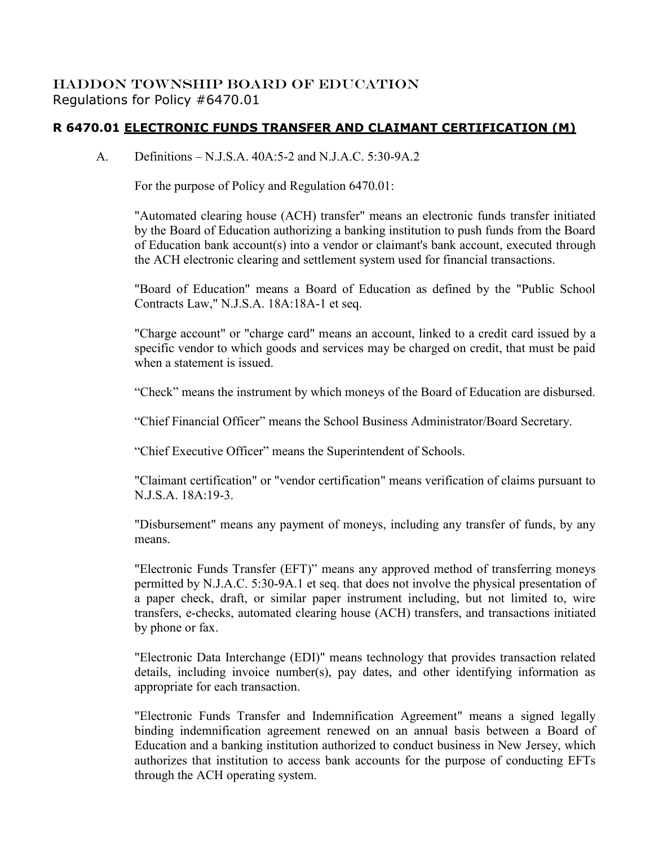## HADDON TOWNSHIP BOARD OF EDUCATION Regulations for Policy #6470.01

## **R 6470.01 ELECTRONIC FUNDS TRANSFER AND CLAIMANT CERTIFICATION (M)**

A. Definitions – N.J.S.A. 40A:5-2 and N.J.A.C. 5:30-9A.2

For the purpose of Policy and Regulation 6470.01:

"Automated clearing house (ACH) transfer" means an electronic funds transfer initiated by the Board of Education authorizing a banking institution to push funds from the Board of Education bank account(s) into a vendor or claimant's bank account, executed through the ACH electronic clearing and settlement system used for financial transactions.

"Board of Education" means a Board of Education as defined by the "Public School Contracts Law," N.J.S.A. 18A:18A-1 et seq.

"Charge account" or "charge card" means an account, linked to a credit card issued by a specific vendor to which goods and services may be charged on credit, that must be paid when a statement is issued.

"Check" means the instrument by which moneys of the Board of Education are disbursed.

"Chief Financial Officer" means the School Business Administrator/Board Secretary.

"Chief Executive Officer" means the Superintendent of Schools.

"Claimant certification" or "vendor certification" means verification of claims pursuant to N.J.S.A. 18A:19-3.

"Disbursement" means any payment of moneys, including any transfer of funds, by any means.

"Electronic Funds Transfer (EFT)" means any approved method of transferring moneys permitted by N.J.A.C. 5:30-9A.1 et seq. that does not involve the physical presentation of a paper check, draft, or similar paper instrument including, but not limited to, wire transfers, e-checks, automated clearing house (ACH) transfers, and transactions initiated by phone or fax.

"Electronic Data Interchange (EDI)" means technology that provides transaction related details, including invoice number(s), pay dates, and other identifying information as appropriate for each transaction.

"Electronic Funds Transfer and Indemnification Agreement" means a signed legally binding indemnification agreement renewed on an annual basis between a Board of Education and a banking institution authorized to conduct business in New Jersey, which authorizes that institution to access bank accounts for the purpose of conducting EFTs through the ACH operating system.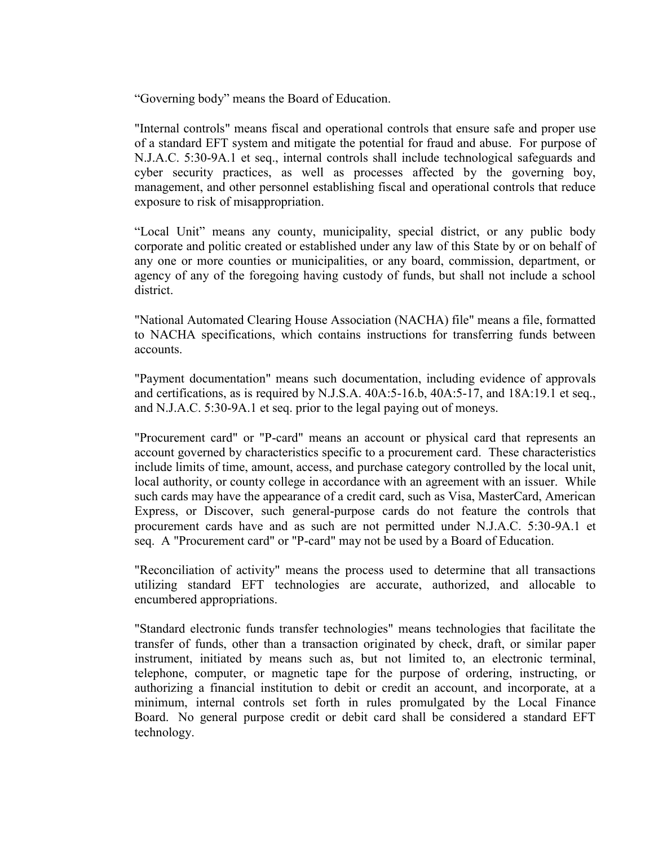"Governing body" means the Board of Education.

"Internal controls" means fiscal and operational controls that ensure safe and proper use of a standard EFT system and mitigate the potential for fraud and abuse. For purpose of N.J.A.C. 5:30-9A.1 et seq., internal controls shall include technological safeguards and cyber security practices, as well as processes affected by the governing boy, management, and other personnel establishing fiscal and operational controls that reduce exposure to risk of misappropriation.

"Local Unit" means any county, municipality, special district, or any public body corporate and politic created or established under any law of this State by or on behalf of any one or more counties or municipalities, or any board, commission, department, or agency of any of the foregoing having custody of funds, but shall not include a school district.

"National Automated Clearing House Association (NACHA) file" means a file, formatted to NACHA specifications, which contains instructions for transferring funds between accounts.

"Payment documentation" means such documentation, including evidence of approvals and certifications, as is required by N.J.S.A. 40A:5-16.b, 40A:5-17, and 18A:19.1 et seq., and N.J.A.C. 5:30-9A.1 et seq. prior to the legal paying out of moneys.

"Procurement card" or "P-card" means an account or physical card that represents an account governed by characteristics specific to a procurement card. These characteristics include limits of time, amount, access, and purchase category controlled by the local unit, local authority, or county college in accordance with an agreement with an issuer. While such cards may have the appearance of a credit card, such as Visa, MasterCard, American Express, or Discover, such general-purpose cards do not feature the controls that procurement cards have and as such are not permitted under N.J.A.C. 5:30-9A.1 et seq. A "Procurement card" or "P-card" may not be used by a Board of Education.

"Reconciliation of activity" means the process used to determine that all transactions utilizing standard EFT technologies are accurate, authorized, and allocable to encumbered appropriations.

"Standard electronic funds transfer technologies" means technologies that facilitate the transfer of funds, other than a transaction originated by check, draft, or similar paper instrument, initiated by means such as, but not limited to, an electronic terminal, telephone, computer, or magnetic tape for the purpose of ordering, instructing, or authorizing a financial institution to debit or credit an account, and incorporate, at a minimum, internal controls set forth in rules promulgated by the Local Finance Board. No general purpose credit or debit card shall be considered a standard EFT technology.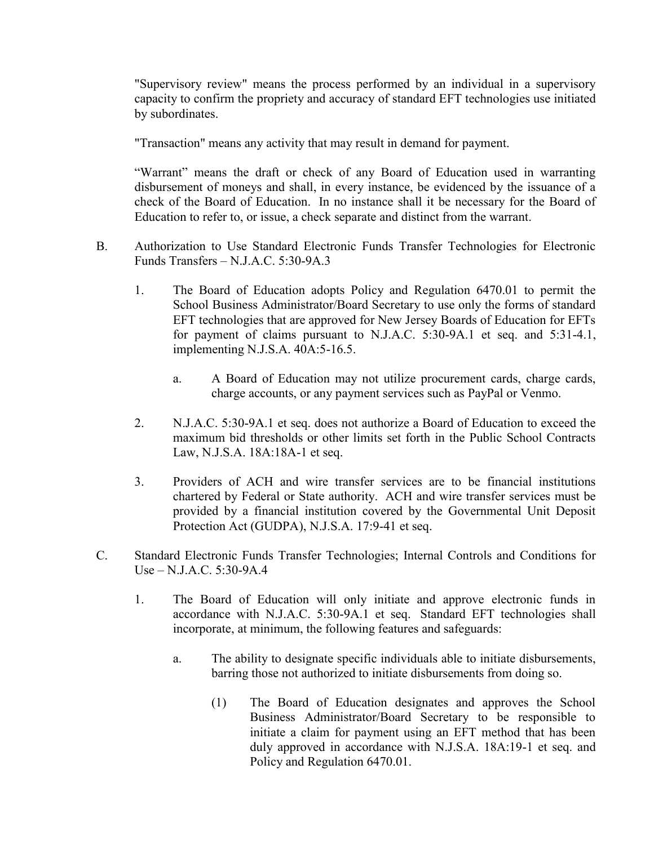"Supervisory review" means the process performed by an individual in a supervisory capacity to confirm the propriety and accuracy of standard EFT technologies use initiated by subordinates.

"Transaction" means any activity that may result in demand for payment.

"Warrant" means the draft or check of any Board of Education used in warranting disbursement of moneys and shall, in every instance, be evidenced by the issuance of a check of the Board of Education. In no instance shall it be necessary for the Board of Education to refer to, or issue, a check separate and distinct from the warrant.

- B. Authorization to Use Standard Electronic Funds Transfer Technologies for Electronic Funds Transfers – N.J.A.C. 5:30-9A.3
	- 1. The Board of Education adopts Policy and Regulation 6470.01 to permit the School Business Administrator/Board Secretary to use only the forms of standard EFT technologies that are approved for New Jersey Boards of Education for EFTs for payment of claims pursuant to N.J.A.C. 5:30-9A.1 et seq. and 5:31-4.1, implementing N.J.S.A. 40A:5-16.5.
		- a. A Board of Education may not utilize procurement cards, charge cards, charge accounts, or any payment services such as PayPal or Venmo.
	- 2. N.J.A.C. 5:30-9A.1 et seq. does not authorize a Board of Education to exceed the maximum bid thresholds or other limits set forth in the Public School Contracts Law, N.J.S.A. 18A:18A-1 et seq.
	- 3. Providers of ACH and wire transfer services are to be financial institutions chartered by Federal or State authority. ACH and wire transfer services must be provided by a financial institution covered by the Governmental Unit Deposit Protection Act (GUDPA), N.J.S.A. 17:9-41 et seq.
- C. Standard Electronic Funds Transfer Technologies; Internal Controls and Conditions for Use – N.J.A.C. 5:30-9A.4
	- 1. The Board of Education will only initiate and approve electronic funds in accordance with N.J.A.C. 5:30-9A.1 et seq. Standard EFT technologies shall incorporate, at minimum, the following features and safeguards:
		- a. The ability to designate specific individuals able to initiate disbursements, barring those not authorized to initiate disbursements from doing so.
			- (1) The Board of Education designates and approves the School Business Administrator/Board Secretary to be responsible to initiate a claim for payment using an EFT method that has been duly approved in accordance with N.J.S.A. 18A:19-1 et seq. and Policy and Regulation 6470.01.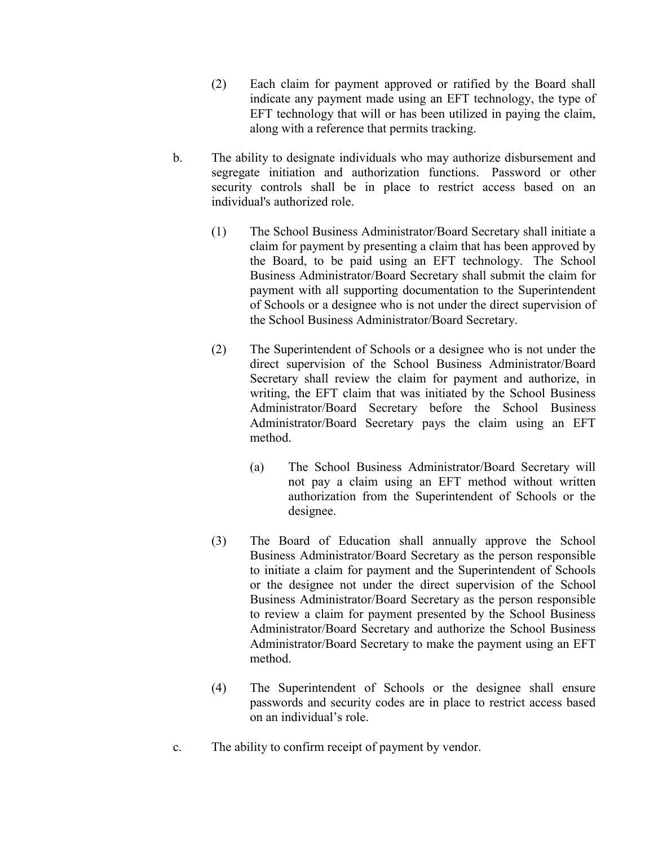- (2) Each claim for payment approved or ratified by the Board shall indicate any payment made using an EFT technology, the type of EFT technology that will or has been utilized in paying the claim, along with a reference that permits tracking.
- b. The ability to designate individuals who may authorize disbursement and segregate initiation and authorization functions. Password or other security controls shall be in place to restrict access based on an individual's authorized role.
	- (1) The School Business Administrator/Board Secretary shall initiate a claim for payment by presenting a claim that has been approved by the Board, to be paid using an EFT technology. The School Business Administrator/Board Secretary shall submit the claim for payment with all supporting documentation to the Superintendent of Schools or a designee who is not under the direct supervision of the School Business Administrator/Board Secretary.
	- (2) The Superintendent of Schools or a designee who is not under the direct supervision of the School Business Administrator/Board Secretary shall review the claim for payment and authorize, in writing, the EFT claim that was initiated by the School Business Administrator/Board Secretary before the School Business Administrator/Board Secretary pays the claim using an EFT method.
		- (a) The School Business Administrator/Board Secretary will not pay a claim using an EFT method without written authorization from the Superintendent of Schools or the designee.
	- (3) The Board of Education shall annually approve the School Business Administrator/Board Secretary as the person responsible to initiate a claim for payment and the Superintendent of Schools or the designee not under the direct supervision of the School Business Administrator/Board Secretary as the person responsible to review a claim for payment presented by the School Business Administrator/Board Secretary and authorize the School Business Administrator/Board Secretary to make the payment using an EFT method.
	- (4) The Superintendent of Schools or the designee shall ensure passwords and security codes are in place to restrict access based on an individual's role.
- c. The ability to confirm receipt of payment by vendor.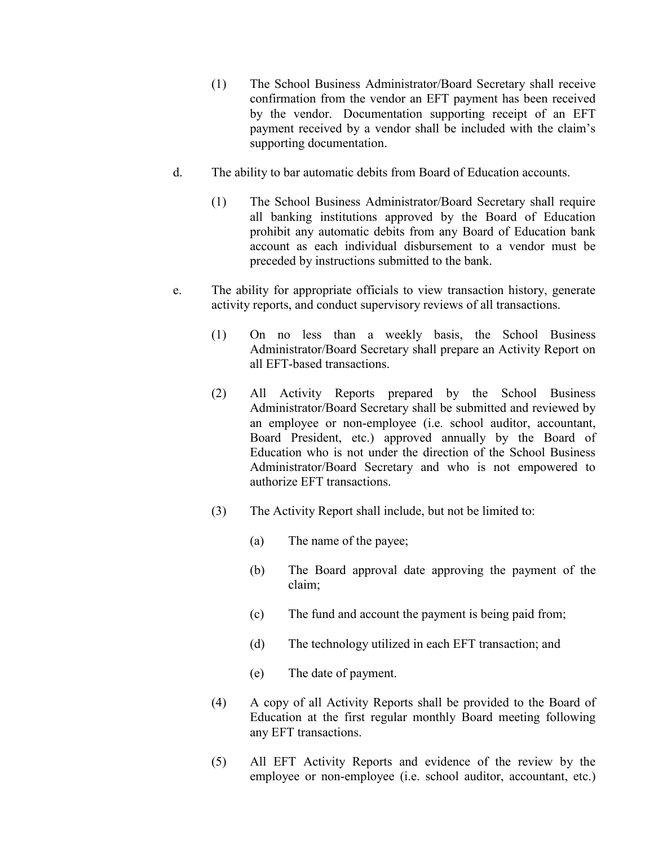- (1) The School Business Administrator/Board Secretary shall receive confirmation from the vendor an EFT payment has been received by the vendor. Documentation supporting receipt of an EFT payment received by a vendor shall be included with the claim's supporting documentation.
- d. The ability to bar automatic debits from Board of Education accounts.
	- (1) The School Business Administrator/Board Secretary shall require all banking institutions approved by the Board of Education prohibit any automatic debits from any Board of Education bank account as each individual disbursement to a vendor must be preceded by instructions submitted to the bank.
- e. The ability for appropriate officials to view transaction history, generate activity reports, and conduct supervisory reviews of all transactions.
	- (1) On no less than a weekly basis, the School Business Administrator/Board Secretary shall prepare an Activity Report on all EFT-based transactions.
	- (2) All Activity Reports prepared by the School Business Administrator/Board Secretary shall be submitted and reviewed by an employee or non-employee (i.e. school auditor, accountant, Board President, etc.) approved annually by the Board of Education who is not under the direction of the School Business Administrator/Board Secretary and who is not empowered to authorize EFT transactions.
	- (3) The Activity Report shall include, but not be limited to:
		- (a) The name of the payee;
		- (b) The Board approval date approving the payment of the claim;
		- (c) The fund and account the payment is being paid from;
		- (d) The technology utilized in each EFT transaction; and
		- (e) The date of payment.
	- (4) A copy of all Activity Reports shall be provided to the Board of Education at the first regular monthly Board meeting following any EFT transactions.
	- (5) All EFT Activity Reports and evidence of the review by the employee or non-employee (i.e. school auditor, accountant, etc.)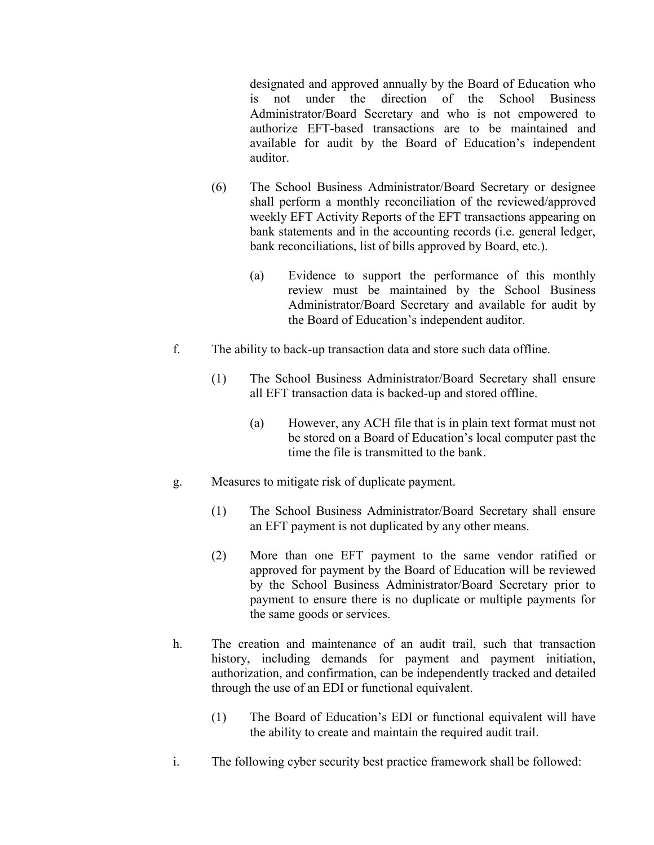designated and approved annually by the Board of Education who is not under the direction of the School Business Administrator/Board Secretary and who is not empowered to authorize EFT-based transactions are to be maintained and available for audit by the Board of Education's independent auditor.

- (6) The School Business Administrator/Board Secretary or designee shall perform a monthly reconciliation of the reviewed/approved weekly EFT Activity Reports of the EFT transactions appearing on bank statements and in the accounting records (i.e. general ledger, bank reconciliations, list of bills approved by Board, etc.).
	- (a) Evidence to support the performance of this monthly review must be maintained by the School Business Administrator/Board Secretary and available for audit by the Board of Education's independent auditor.
- f. The ability to back-up transaction data and store such data offline.
	- (1) The School Business Administrator/Board Secretary shall ensure all EFT transaction data is backed-up and stored offline.
		- (a) However, any ACH file that is in plain text format must not be stored on a Board of Education's local computer past the time the file is transmitted to the bank.
- g. Measures to mitigate risk of duplicate payment.
	- (1) The School Business Administrator/Board Secretary shall ensure an EFT payment is not duplicated by any other means.
	- (2) More than one EFT payment to the same vendor ratified or approved for payment by the Board of Education will be reviewed by the School Business Administrator/Board Secretary prior to payment to ensure there is no duplicate or multiple payments for the same goods or services.
- h. The creation and maintenance of an audit trail, such that transaction history, including demands for payment and payment initiation, authorization, and confirmation, can be independently tracked and detailed through the use of an EDI or functional equivalent.
	- (1) The Board of Education's EDI or functional equivalent will have the ability to create and maintain the required audit trail.
- i. The following cyber security best practice framework shall be followed: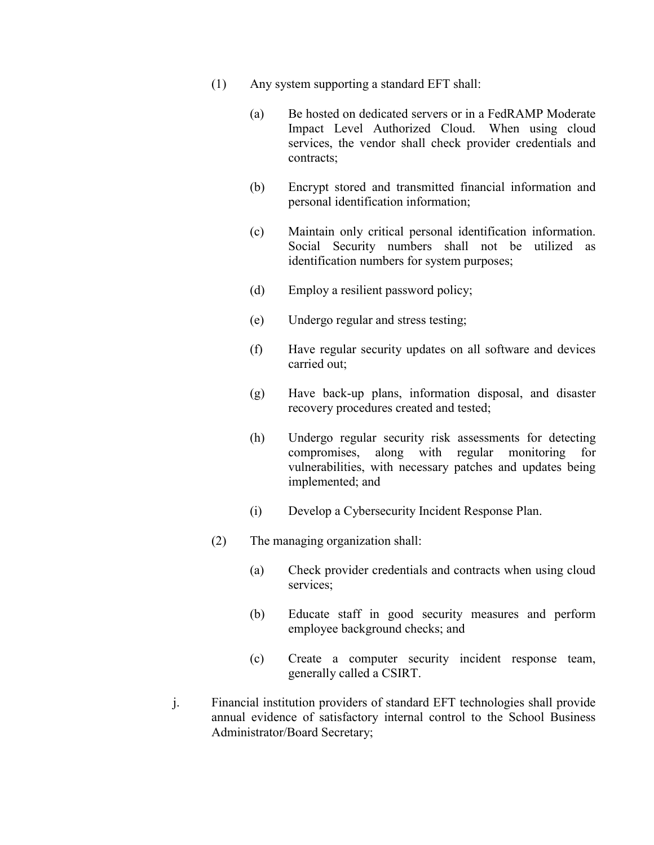- (1) Any system supporting a standard EFT shall:
	- (a) Be hosted on dedicated servers or in a FedRAMP Moderate Impact Level Authorized Cloud. When using cloud services, the vendor shall check provider credentials and contracts;
	- (b) Encrypt stored and transmitted financial information and personal identification information;
	- (c) Maintain only critical personal identification information. Social Security numbers shall not be utilized as identification numbers for system purposes;
	- (d) Employ a resilient password policy;
	- (e) Undergo regular and stress testing;
	- (f) Have regular security updates on all software and devices carried out;
	- (g) Have back-up plans, information disposal, and disaster recovery procedures created and tested;
	- (h) Undergo regular security risk assessments for detecting compromises, along with regular monitoring for vulnerabilities, with necessary patches and updates being implemented; and
	- (i) Develop a Cybersecurity Incident Response Plan.
- (2) The managing organization shall:
	- (a) Check provider credentials and contracts when using cloud services;
	- (b) Educate staff in good security measures and perform employee background checks; and
	- (c) Create a computer security incident response team, generally called a CSIRT.
- j. Financial institution providers of standard EFT technologies shall provide annual evidence of satisfactory internal control to the School Business Administrator/Board Secretary;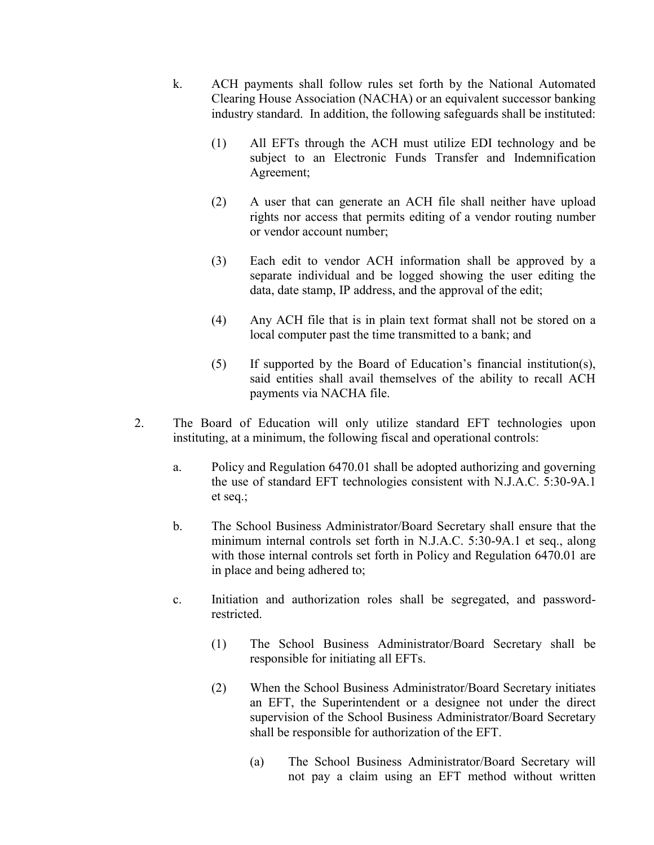- k. ACH payments shall follow rules set forth by the National Automated Clearing House Association (NACHA) or an equivalent successor banking industry standard. In addition, the following safeguards shall be instituted:
	- (1) All EFTs through the ACH must utilize EDI technology and be subject to an Electronic Funds Transfer and Indemnification Agreement;
	- (2) A user that can generate an ACH file shall neither have upload rights nor access that permits editing of a vendor routing number or vendor account number;
	- (3) Each edit to vendor ACH information shall be approved by a separate individual and be logged showing the user editing the data, date stamp, IP address, and the approval of the edit;
	- (4) Any ACH file that is in plain text format shall not be stored on a local computer past the time transmitted to a bank; and
	- (5) If supported by the Board of Education's financial institution(s), said entities shall avail themselves of the ability to recall ACH payments via NACHA file.
- 2. The Board of Education will only utilize standard EFT technologies upon instituting, at a minimum, the following fiscal and operational controls:
	- a. Policy and Regulation 6470.01 shall be adopted authorizing and governing the use of standard EFT technologies consistent with N.J.A.C. 5:30-9A.1 et seq.;
	- b. The School Business Administrator/Board Secretary shall ensure that the minimum internal controls set forth in N.J.A.C. 5:30-9A.1 et seq., along with those internal controls set forth in Policy and Regulation 6470.01 are in place and being adhered to;
	- c. Initiation and authorization roles shall be segregated, and passwordrestricted.
		- (1) The School Business Administrator/Board Secretary shall be responsible for initiating all EFTs.
		- (2) When the School Business Administrator/Board Secretary initiates an EFT, the Superintendent or a designee not under the direct supervision of the School Business Administrator/Board Secretary shall be responsible for authorization of the EFT.
			- (a) The School Business Administrator/Board Secretary will not pay a claim using an EFT method without written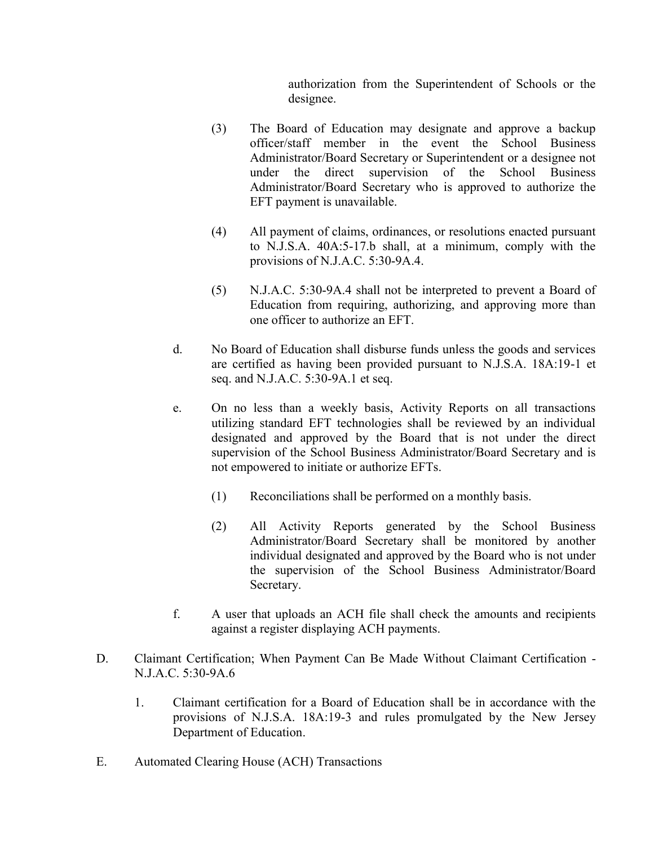authorization from the Superintendent of Schools or the designee.

- (3) The Board of Education may designate and approve a backup officer/staff member in the event the School Business Administrator/Board Secretary or Superintendent or a designee not under the direct supervision of the School Business Administrator/Board Secretary who is approved to authorize the EFT payment is unavailable.
- (4) All payment of claims, ordinances, or resolutions enacted pursuant to N.J.S.A. 40A:5-17.b shall, at a minimum, comply with the provisions of N.J.A.C. 5:30-9A.4.
- (5) N.J.A.C. 5:30-9A.4 shall not be interpreted to prevent a Board of Education from requiring, authorizing, and approving more than one officer to authorize an EFT.
- d. No Board of Education shall disburse funds unless the goods and services are certified as having been provided pursuant to N.J.S.A. 18A:19-1 et seq. and N.J.A.C. 5:30-9A.1 et seq.
- e. On no less than a weekly basis, Activity Reports on all transactions utilizing standard EFT technologies shall be reviewed by an individual designated and approved by the Board that is not under the direct supervision of the School Business Administrator/Board Secretary and is not empowered to initiate or authorize EFTs.
	- (1) Reconciliations shall be performed on a monthly basis.
	- (2) All Activity Reports generated by the School Business Administrator/Board Secretary shall be monitored by another individual designated and approved by the Board who is not under the supervision of the School Business Administrator/Board Secretary.
- f. A user that uploads an ACH file shall check the amounts and recipients against a register displaying ACH payments.
- D. Claimant Certification; When Payment Can Be Made Without Claimant Certification N.J.A.C. 5:30-9A.6
	- 1. Claimant certification for a Board of Education shall be in accordance with the provisions of N.J.S.A. 18A:19-3 and rules promulgated by the New Jersey Department of Education.
- E. Automated Clearing House (ACH) Transactions